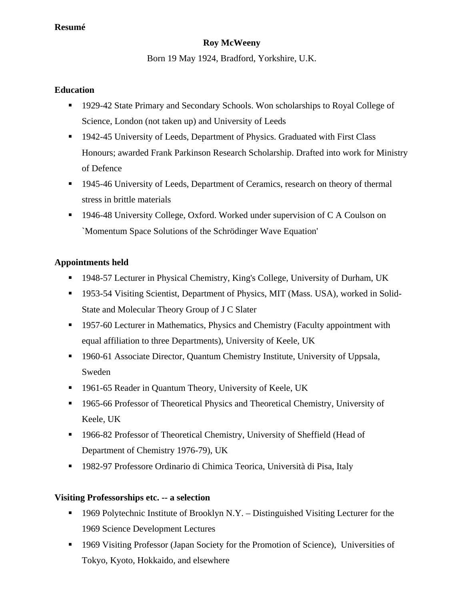#### **Resumé**

# **Roy McWeeny**

Born 19 May 1924, Bradford, Yorkshire, U.K.

#### **Education**

- 1929-42 State Primary and Secondary Schools. Won scholarships to Royal College of Science, London (not taken up) and University of Leeds
- <sup>1942-45</sup> University of Leeds, Department of Physics. Graduated with First Class Honours; awarded Frank Parkinson Research Scholarship. Drafted into work for Ministry of Defence
- 1945-46 University of Leeds, Department of Ceramics, research on theory of thermal stress in brittle materials
- <sup>1946-48</sup> University College, Oxford. Worked under supervision of C A Coulson on `Momentum Space Solutions of the Schrödinger Wave Equation'

# **Appointments held**

- 1948-57 Lecturer in Physical Chemistry, King's College, University of Durham, UK
- 1953-54 Visiting Scientist, Department of Physics, MIT (Mass. USA), worked in Solid-State and Molecular Theory Group of J C Slater
- <sup>1957-60</sup> Lecturer in Mathematics, Physics and Chemistry (Faculty appointment with equal affiliation to three Departments), University of Keele, UK
- **1960-61 Associate Director, Quantum Chemistry Institute, University of Uppsala,** Sweden
- 1961-65 Reader in Quantum Theory, University of Keele, UK
- <sup>1965-66</sup> Professor of Theoretical Physics and Theoretical Chemistry, University of Keele, UK
- 1966-82 Professor of Theoretical Chemistry, University of Sheffield (Head of Department of Chemistry 1976-79), UK
- 1982-97 Professore Ordinario di Chimica Teorica, Università di Pisa, Italy

# **Visiting Professorships etc. -- a selection**

- $\blacksquare$  1969 Polytechnic Institute of Brooklyn N.Y. Distinguished Visiting Lecturer for the 1969 Science Development Lectures
- 1969 Visiting Professor (Japan Society for the Promotion of Science), Universities of Tokyo, Kyoto, Hokkaido, and elsewhere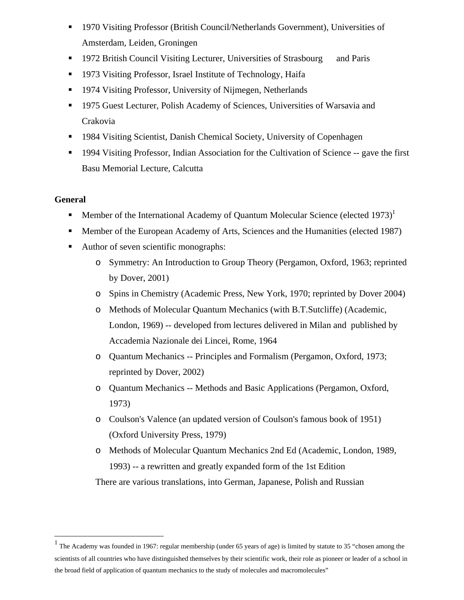- 1970 Visiting Professor (British Council/Netherlands Government), Universities of Amsterdam, Leiden, Groningen
- **1972 British Council Visiting Lecturer, Universities of Strasbourg and Paris**
- 1973 Visiting Professor, Israel Institute of Technology, Haifa
- 1974 Visiting Professor, University of Nijmegen, Netherlands
- 1975 Guest Lecturer, Polish Academy of Sciences, Universities of Warsavia and Crakovia
- 1984 Visiting Scientist, Danish Chemical Society, University of Copenhagen
- **1994 Visiting Professor, Indian Association for the Cultivation of Science -- gave the first** Basu Memorial Lecture, Calcutta

#### **General**

1

- **Member of the International Academy of Quantum Molecular Science (elected 1973)**<sup>1</sup>
- Member of the European Academy of Arts, Sciences and the Humanities (elected 1987)
- Author of seven scientific monographs:
	- o Symmetry: An Introduction to Group Theory (Pergamon, Oxford, 1963; reprinted by Dover, 2001)
	- o Spins in Chemistry (Academic Press, New York, 1970; reprinted by Dover 2004)
	- o Methods of Molecular Quantum Mechanics (with B.T.Sutcliffe) (Academic, London, 1969) -- developed from lectures delivered in Milan and published by Accademia Nazionale dei Lincei, Rome, 1964
	- o Quantum Mechanics -- Principles and Formalism (Pergamon, Oxford, 1973; reprinted by Dover, 2002)
	- o Quantum Mechanics -- Methods and Basic Applications (Pergamon, Oxford, 1973)
	- o Coulson's Valence (an updated version of Coulson's famous book of 1951) (Oxford University Press, 1979)
	- o Methods of Molecular Quantum Mechanics 2nd Ed (Academic, London, 1989, 1993) -- a rewritten and greatly expanded form of the 1st Edition

There are various translations, into German, Japanese, Polish and Russian

<sup>&</sup>lt;sup>1</sup> The Academy was founded in 1967: regular membership (under 65 years of age) is limited by statute to 35 "chosen among the scientists of all countries who have distinguished themselves by their scientific work, their role as pioneer or leader of a school in the broad field of application of quantum mechanics to the study of molecules and macromolecules"